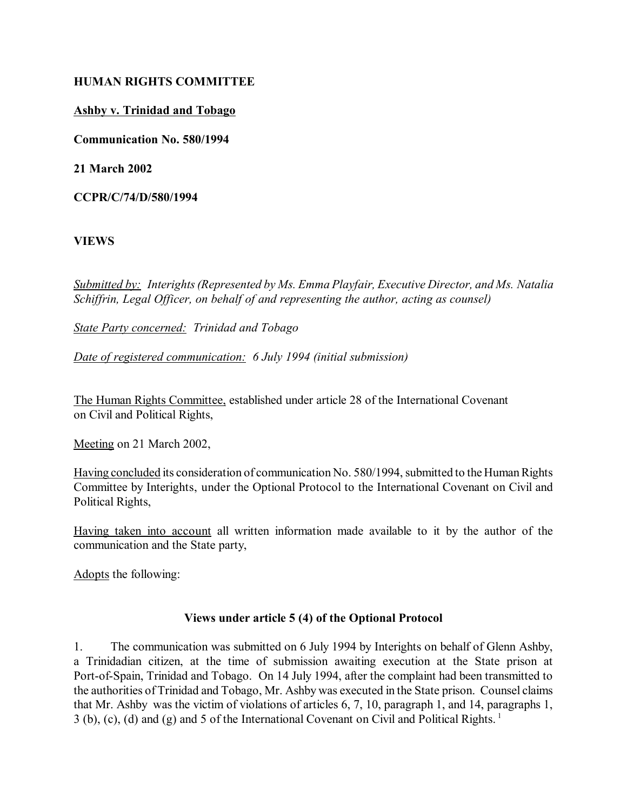### **HUMAN RIGHTS COMMITTEE**

### **Ashby v. Trinidad and Tobago**

**Communication No. 580/1994**

**21 March 2002**

**CCPR/C/74/D/580/1994**

### **VIEWS**

*Submitted by: Interights (Represented by Ms. Emma Playfair, Executive Director, and Ms. Natalia Schiffrin, Legal Officer, on behalf of and representing the author, acting as counsel)*

*State Party concerned: Trinidad and Tobago*

*Date of registered communication: 6 July 1994 (initial submission)*

The Human Rights Committee, established under article 28 of the International Covenant on Civil and Political Rights,

Meeting on 21 March 2002,

Having concluded its consideration of communication No. 580/1994, submitted to the Human Rights Committee by Interights, under the Optional Protocol to the International Covenant on Civil and Political Rights,

Having taken into account all written information made available to it by the author of the communication and the State party,

Adopts the following:

#### **Views under article 5 (4) of the Optional Protocol**

1. The communication was submitted on 6 July 1994 by Interights on behalf of Glenn Ashby, a Trinidadian citizen, at the time of submission awaiting execution at the State prison at Port-of-Spain, Trinidad and Tobago. On 14 July 1994, after the complaint had been transmitted to the authorities of Trinidad and Tobago, Mr. Ashby was executed in the State prison. Counsel claims that Mr. Ashby was the victim of violations of articles 6, 7, 10, paragraph 1, and 14, paragraphs 1, 3 (b), (c), (d) and (g) and 5 of the International Covenant on Civil and Political Rights. 1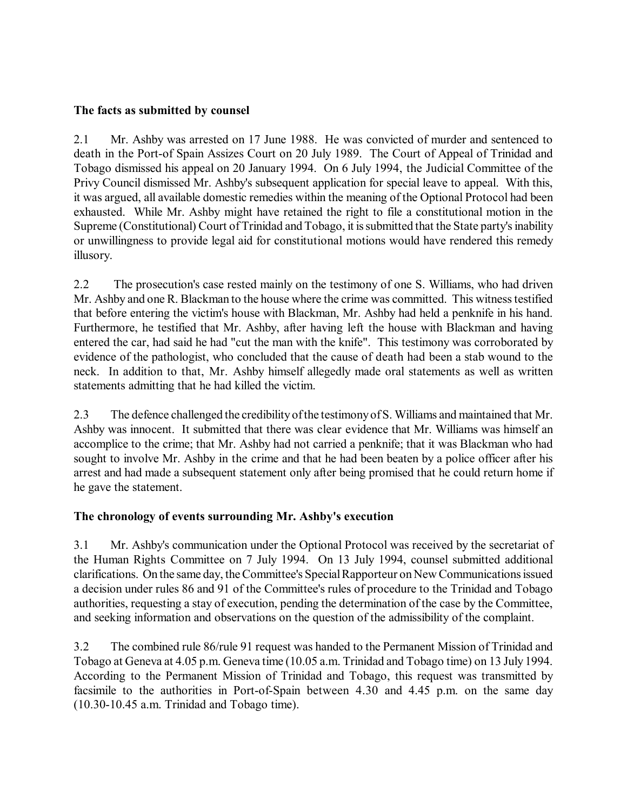### **The facts as submitted by counsel**

2.1 Mr. Ashby was arrested on 17 June 1988. He was convicted of murder and sentenced to death in the Port-of Spain Assizes Court on 20 July 1989. The Court of Appeal of Trinidad and Tobago dismissed his appeal on 20 January 1994. On 6 July 1994, the Judicial Committee of the Privy Council dismissed Mr. Ashby's subsequent application for special leave to appeal. With this, it was argued, all available domestic remedies within the meaning of the Optional Protocol had been exhausted. While Mr. Ashby might have retained the right to file a constitutional motion in the Supreme (Constitutional) Court of Trinidad and Tobago, it is submitted that the State party's inability or unwillingness to provide legal aid for constitutional motions would have rendered this remedy illusory.

2.2 The prosecution's case rested mainly on the testimony of one S. Williams, who had driven Mr. Ashby and one R. Blackman to the house where the crime was committed. This witness testified that before entering the victim's house with Blackman, Mr. Ashby had held a penknife in his hand. Furthermore, he testified that Mr. Ashby, after having left the house with Blackman and having entered the car, had said he had "cut the man with the knife". This testimony was corroborated by evidence of the pathologist, who concluded that the cause of death had been a stab wound to the neck. In addition to that, Mr. Ashby himself allegedly made oral statements as well as written statements admitting that he had killed the victim.

2.3 The defence challenged the credibility of the testimony of S. Williams and maintained that Mr. Ashby was innocent. It submitted that there was clear evidence that Mr. Williams was himself an accomplice to the crime; that Mr. Ashby had not carried a penknife; that it was Blackman who had sought to involve Mr. Ashby in the crime and that he had been beaten by a police officer after his arrest and had made a subsequent statement only after being promised that he could return home if he gave the statement.

### **The chronology of events surrounding Mr. Ashby's execution**

3.1 Mr. Ashby's communication under the Optional Protocol was received by the secretariat of the Human Rights Committee on 7 July 1994. On 13 July 1994, counsel submitted additional clarifications. On the same day, the Committee's Special Rapporteur on New Communications issued a decision under rules 86 and 91 of the Committee's rules of procedure to the Trinidad and Tobago authorities, requesting a stay of execution, pending the determination of the case by the Committee, and seeking information and observations on the question of the admissibility of the complaint.

3.2 The combined rule 86/rule 91 request was handed to the Permanent Mission of Trinidad and Tobago at Geneva at 4.05 p.m. Geneva time (10.05 a.m. Trinidad and Tobago time) on 13 July 1994. According to the Permanent Mission of Trinidad and Tobago, this request was transmitted by facsimile to the authorities in Port-of-Spain between 4.30 and 4.45 p.m. on the same day (10.30-10.45 a.m. Trinidad and Tobago time).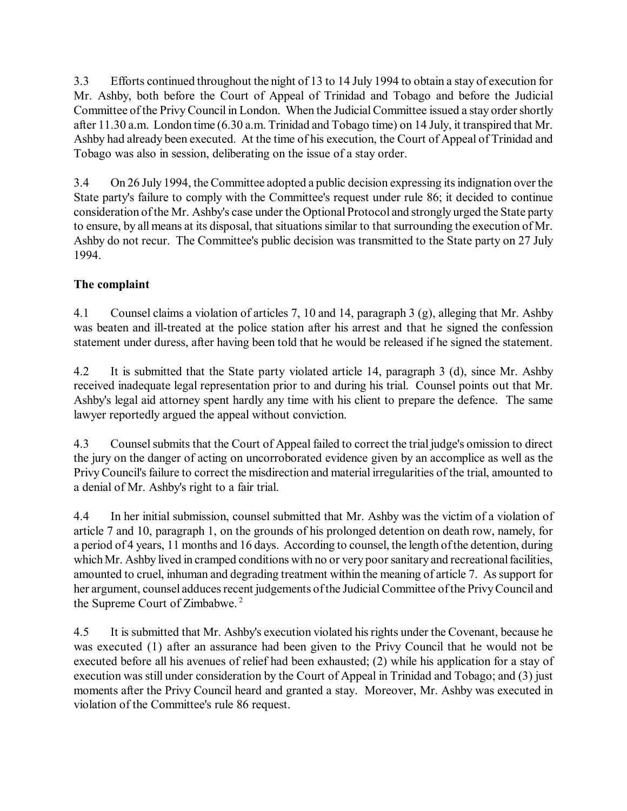3.3 Efforts continued throughout the night of 13 to 14 July 1994 to obtain a stay of execution for Mr. Ashby, both before the Court of Appeal of Trinidad and Tobago and before the Judicial Committee of the Privy Council in London. When the Judicial Committee issued a stay order shortly after 11.30 a.m. London time (6.30 a.m. Trinidad and Tobago time) on 14 July, it transpired that Mr. Ashby had already been executed. At the time of his execution, the Court of Appeal of Trinidad and Tobago was also in session, deliberating on the issue of a stay order.

3.4 On 26 July 1994, the Committee adopted a public decision expressing its indignation over the State party's failure to comply with the Committee's request under rule 86; it decided to continue consideration of the Mr. Ashby's case under the Optional Protocol and strongly urged the State party to ensure, by all means at its disposal, that situations similar to that surrounding the execution of Mr. Ashby do not recur. The Committee's public decision was transmitted to the State party on 27 July 1994.

# **The complaint**

4.1 Counsel claims a violation of articles 7, 10 and 14, paragraph 3 (g), alleging that Mr. Ashby was beaten and ill-treated at the police station after his arrest and that he signed the confession statement under duress, after having been told that he would be released if he signed the statement.

4.2 It is submitted that the State party violated article 14, paragraph 3 (d), since Mr. Ashby received inadequate legal representation prior to and during his trial. Counsel points out that Mr. Ashby's legal aid attorney spent hardly any time with his client to prepare the defence. The same lawyer reportedly argued the appeal without conviction.

4.3 Counsel submits that the Court of Appeal failed to correct the trial judge's omission to direct the jury on the danger of acting on uncorroborated evidence given by an accomplice as well as the Privy Council's failure to correct the misdirection and material irregularities of the trial, amounted to a denial of Mr. Ashby's right to a fair trial.

4.4 In her initial submission, counsel submitted that Mr. Ashby was the victim of a violation of article 7 and 10, paragraph 1, on the grounds of his prolonged detention on death row, namely, for a period of 4 years, 11 months and 16 days. According to counsel, the length of the detention, during which Mr. Ashby lived in cramped conditions with no or very poor sanitary and recreational facilities, amounted to cruel, inhuman and degrading treatment within the meaning of article 7. As support for her argument, counsel adduces recent judgements of the Judicial Committee of the Privy Council and the Supreme Court of Zimbabwe. 2

4.5 It is submitted that Mr. Ashby's execution violated his rights under the Covenant, because he was executed (1) after an assurance had been given to the Privy Council that he would not be executed before all his avenues of relief had been exhausted; (2) while his application for a stay of execution was still under consideration by the Court of Appeal in Trinidad and Tobago; and (3) just moments after the Privy Council heard and granted a stay. Moreover, Mr. Ashby was executed in violation of the Committee's rule 86 request.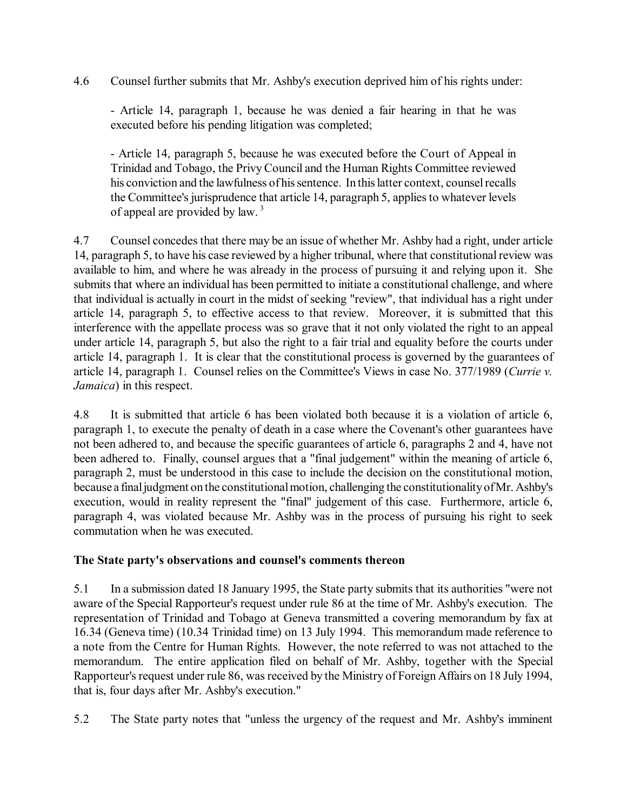4.6 Counsel further submits that Mr. Ashby's execution deprived him of his rights under:

- Article 14, paragraph 1, because he was denied a fair hearing in that he was executed before his pending litigation was completed;

- Article 14, paragraph 5, because he was executed before the Court of Appeal in Trinidad and Tobago, the Privy Council and the Human Rights Committee reviewed his conviction and the lawfulness of his sentence. In this latter context, counsel recalls the Committee's jurisprudence that article 14, paragraph 5, applies to whatever levels of appeal are provided by law. 3

4.7 Counsel concedes that there may be an issue of whether Mr. Ashby had a right, under article 14, paragraph 5, to have his case reviewed by a higher tribunal, where that constitutional review was available to him, and where he was already in the process of pursuing it and relying upon it. She submits that where an individual has been permitted to initiate a constitutional challenge, and where that individual is actually in court in the midst of seeking "review", that individual has a right under article 14, paragraph 5, to effective access to that review. Moreover, it is submitted that this interference with the appellate process was so grave that it not only violated the right to an appeal under article 14, paragraph 5, but also the right to a fair trial and equality before the courts under article 14, paragraph 1. It is clear that the constitutional process is governed by the guarantees of article 14, paragraph 1. Counsel relies on the Committee's Views in case No. 377/1989 (*Currie v. Jamaica*) in this respect.

4.8 It is submitted that article 6 has been violated both because it is a violation of article 6, paragraph 1, to execute the penalty of death in a case where the Covenant's other guarantees have not been adhered to, and because the specific guarantees of article 6, paragraphs 2 and 4, have not been adhered to. Finally, counsel argues that a "final judgement" within the meaning of article 6, paragraph 2, must be understood in this case to include the decision on the constitutional motion, because a final judgment on the constitutional motion, challenging the constitutionality of Mr. Ashby's execution, would in reality represent the "final" judgement of this case. Furthermore, article 6, paragraph 4, was violated because Mr. Ashby was in the process of pursuing his right to seek commutation when he was executed.

### **The State party's observations and counsel's comments thereon**

5.1 In a submission dated 18 January 1995, the State party submits that its authorities "were not aware of the Special Rapporteur's request under rule 86 at the time of Mr. Ashby's execution. The representation of Trinidad and Tobago at Geneva transmitted a covering memorandum by fax at 16.34 (Geneva time) (10.34 Trinidad time) on 13 July 1994. This memorandum made reference to a note from the Centre for Human Rights. However, the note referred to was not attached to the memorandum. The entire application filed on behalf of Mr. Ashby, together with the Special Rapporteur's request under rule 86, was received by the Ministry of Foreign Affairs on 18 July 1994, that is, four days after Mr. Ashby's execution."

5.2 The State party notes that "unless the urgency of the request and Mr. Ashby's imminent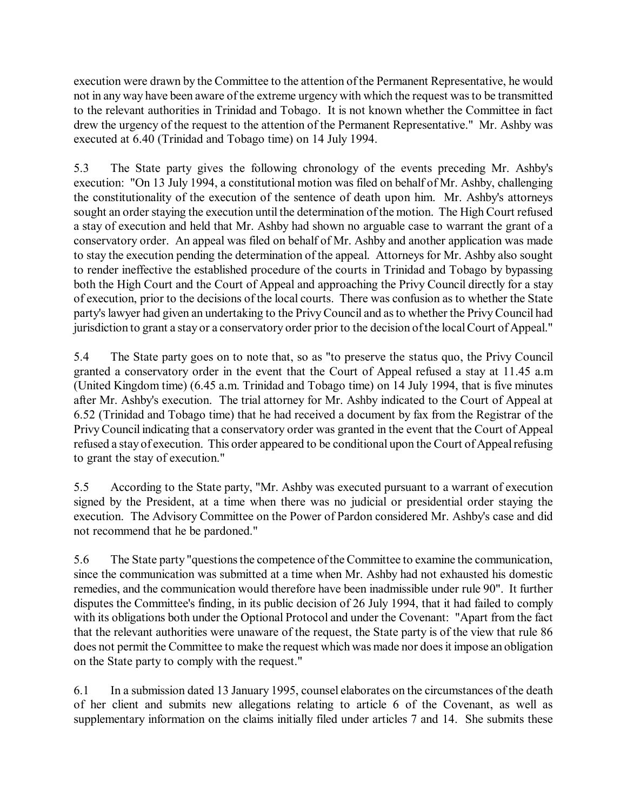execution were drawn by the Committee to the attention of the Permanent Representative, he would not in any way have been aware of the extreme urgency with which the request was to be transmitted to the relevant authorities in Trinidad and Tobago. It is not known whether the Committee in fact drew the urgency of the request to the attention of the Permanent Representative." Mr. Ashby was executed at 6.40 (Trinidad and Tobago time) on 14 July 1994.

5.3 The State party gives the following chronology of the events preceding Mr. Ashby's execution: "On 13 July 1994, a constitutional motion was filed on behalf of Mr. Ashby, challenging the constitutionality of the execution of the sentence of death upon him. Mr. Ashby's attorneys sought an order staying the execution until the determination of the motion. The High Court refused a stay of execution and held that Mr. Ashby had shown no arguable case to warrant the grant of a conservatory order. An appeal was filed on behalf of Mr. Ashby and another application was made to stay the execution pending the determination of the appeal. Attorneys for Mr. Ashby also sought to render ineffective the established procedure of the courts in Trinidad and Tobago by bypassing both the High Court and the Court of Appeal and approaching the Privy Council directly for a stay of execution, prior to the decisions of the local courts. There was confusion as to whether the State party's lawyer had given an undertaking to the Privy Council and as to whether the Privy Council had jurisdiction to grant a stay or a conservatory order prior to the decision of the local Court of Appeal."

5.4 The State party goes on to note that, so as "to preserve the status quo, the Privy Council granted a conservatory order in the event that the Court of Appeal refused a stay at 11.45 a.m (United Kingdom time) (6.45 a.m. Trinidad and Tobago time) on 14 July 1994, that is five minutes after Mr. Ashby's execution. The trial attorney for Mr. Ashby indicated to the Court of Appeal at 6.52 (Trinidad and Tobago time) that he had received a document by fax from the Registrar of the Privy Council indicating that a conservatory order was granted in the event that the Court of Appeal refused a stay of execution. This order appeared to be conditional upon the Court of Appeal refusing to grant the stay of execution."

5.5 According to the State party, "Mr. Ashby was executed pursuant to a warrant of execution signed by the President, at a time when there was no judicial or presidential order staying the execution. The Advisory Committee on the Power of Pardon considered Mr. Ashby's case and did not recommend that he be pardoned."

5.6 The State party "questions the competence of the Committee to examine the communication, since the communication was submitted at a time when Mr. Ashby had not exhausted his domestic remedies, and the communication would therefore have been inadmissible under rule 90". It further disputes the Committee's finding, in its public decision of 26 July 1994, that it had failed to comply with its obligations both under the Optional Protocol and under the Covenant: "Apart from the fact that the relevant authorities were unaware of the request, the State party is of the view that rule 86 does not permit the Committee to make the request which was made nor does it impose an obligation on the State party to comply with the request."

6.1 In a submission dated 13 January 1995, counsel elaborates on the circumstances of the death of her client and submits new allegations relating to article 6 of the Covenant, as well as supplementary information on the claims initially filed under articles 7 and 14. She submits these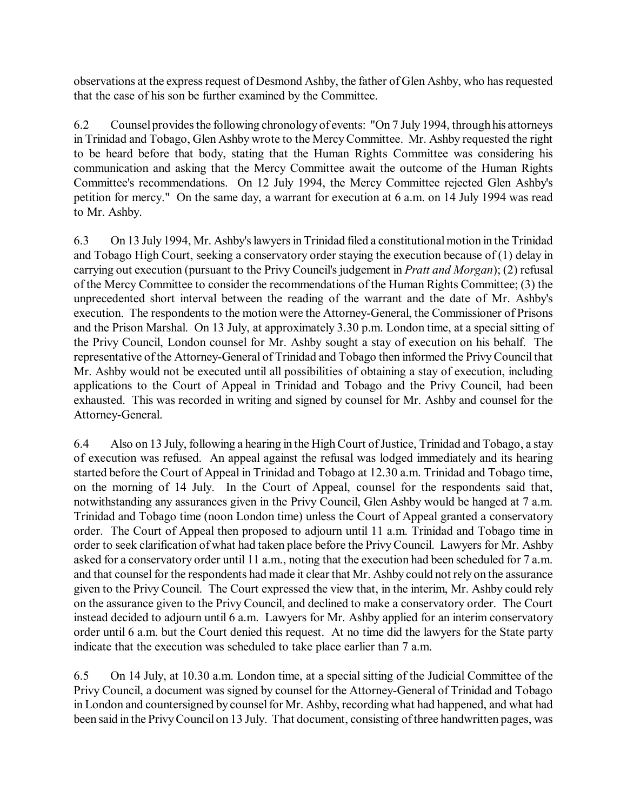observations at the express request of Desmond Ashby, the father of Glen Ashby, who has requested that the case of his son be further examined by the Committee.

6.2 Counsel provides the following chronology of events: "On 7 July 1994, through his attorneys in Trinidad and Tobago, Glen Ashby wrote to the Mercy Committee. Mr. Ashby requested the right to be heard before that body, stating that the Human Rights Committee was considering his communication and asking that the Mercy Committee await the outcome of the Human Rights Committee's recommendations. On 12 July 1994, the Mercy Committee rejected Glen Ashby's petition for mercy." On the same day, a warrant for execution at 6 a.m. on 14 July 1994 was read to Mr. Ashby.

6.3 On 13 July 1994, Mr. Ashby's lawyers in Trinidad filed a constitutional motion in the Trinidad and Tobago High Court, seeking a conservatory order staying the execution because of (1) delay in carrying out execution (pursuant to the Privy Council's judgement in *Pratt and Morgan*); (2) refusal of the Mercy Committee to consider the recommendations of the Human Rights Committee; (3) the unprecedented short interval between the reading of the warrant and the date of Mr. Ashby's execution. The respondents to the motion were the Attorney-General, the Commissioner of Prisons and the Prison Marshal. On 13 July, at approximately 3.30 p.m. London time, at a special sitting of the Privy Council, London counsel for Mr. Ashby sought a stay of execution on his behalf. The representative of the Attorney-General of Trinidad and Tobago then informed the Privy Council that Mr. Ashby would not be executed until all possibilities of obtaining a stay of execution, including applications to the Court of Appeal in Trinidad and Tobago and the Privy Council, had been exhausted. This was recorded in writing and signed by counsel for Mr. Ashby and counsel for the Attorney-General.

6.4 Also on 13 July, following a hearing in the High Court of Justice, Trinidad and Tobago, a stay of execution was refused. An appeal against the refusal was lodged immediately and its hearing started before the Court of Appeal in Trinidad and Tobago at 12.30 a.m. Trinidad and Tobago time, on the morning of 14 July. In the Court of Appeal, counsel for the respondents said that, notwithstanding any assurances given in the Privy Council, Glen Ashby would be hanged at 7 a.m. Trinidad and Tobago time (noon London time) unless the Court of Appeal granted a conservatory order. The Court of Appeal then proposed to adjourn until 11 a.m. Trinidad and Tobago time in order to seek clarification of what had taken place before the Privy Council. Lawyers for Mr. Ashby asked for a conservatory order until 11 a.m., noting that the execution had been scheduled for 7 a.m. and that counsel for the respondents had made it clear that Mr. Ashby could not rely on the assurance given to the Privy Council. The Court expressed the view that, in the interim, Mr. Ashby could rely on the assurance given to the Privy Council, and declined to make a conservatory order. The Court instead decided to adjourn until 6 a.m. Lawyers for Mr. Ashby applied for an interim conservatory order until 6 a.m. but the Court denied this request. At no time did the lawyers for the State party indicate that the execution was scheduled to take place earlier than 7 a.m.

6.5 On 14 July, at 10.30 a.m. London time, at a special sitting of the Judicial Committee of the Privy Council, a document was signed by counsel for the Attorney-General of Trinidad and Tobago in London and countersigned by counsel for Mr. Ashby, recording what had happened, and what had been said in the Privy Council on 13 July. That document, consisting of three handwritten pages, was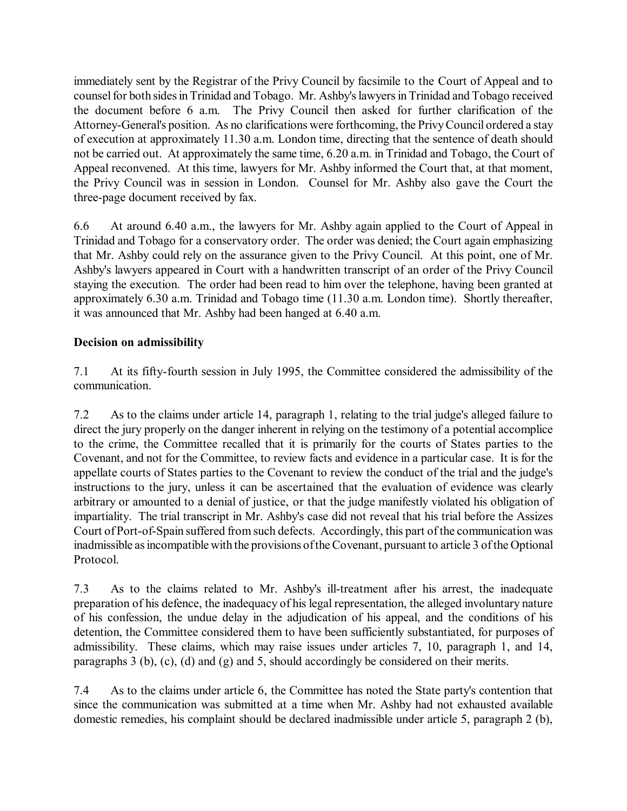immediately sent by the Registrar of the Privy Council by facsimile to the Court of Appeal and to counsel for both sides in Trinidad and Tobago. Mr. Ashby's lawyers in Trinidad and Tobago received the document before 6 a.m. The Privy Council then asked for further clarification of the Attorney-General's position. As no clarifications were forthcoming, the Privy Council ordered a stay of execution at approximately 11.30 a.m. London time, directing that the sentence of death should not be carried out. At approximately the same time, 6.20 a.m. in Trinidad and Tobago, the Court of Appeal reconvened. At this time, lawyers for Mr. Ashby informed the Court that, at that moment, the Privy Council was in session in London. Counsel for Mr. Ashby also gave the Court the three-page document received by fax.

6.6 At around 6.40 a.m., the lawyers for Mr. Ashby again applied to the Court of Appeal in Trinidad and Tobago for a conservatory order. The order was denied; the Court again emphasizing that Mr. Ashby could rely on the assurance given to the Privy Council. At this point, one of Mr. Ashby's lawyers appeared in Court with a handwritten transcript of an order of the Privy Council staying the execution. The order had been read to him over the telephone, having been granted at approximately 6.30 a.m. Trinidad and Tobago time (11.30 a.m. London time). Shortly thereafter, it was announced that Mr. Ashby had been hanged at 6.40 a.m.

## **Decision on admissibility**

7.1 At its fifty-fourth session in July 1995, the Committee considered the admissibility of the communication.

7.2 As to the claims under article 14, paragraph 1, relating to the trial judge's alleged failure to direct the jury properly on the danger inherent in relying on the testimony of a potential accomplice to the crime, the Committee recalled that it is primarily for the courts of States parties to the Covenant, and not for the Committee, to review facts and evidence in a particular case. It is for the appellate courts of States parties to the Covenant to review the conduct of the trial and the judge's instructions to the jury, unless it can be ascertained that the evaluation of evidence was clearly arbitrary or amounted to a denial of justice, or that the judge manifestly violated his obligation of impartiality. The trial transcript in Mr. Ashby's case did not reveal that his trial before the Assizes Court of Port-of-Spain suffered from such defects. Accordingly, this part of the communication was inadmissible as incompatible with the provisions of the Covenant, pursuant to article 3 of the Optional Protocol.

7.3 As to the claims related to Mr. Ashby's ill-treatment after his arrest, the inadequate preparation of his defence, the inadequacy of his legal representation, the alleged involuntary nature of his confession, the undue delay in the adjudication of his appeal, and the conditions of his detention, the Committee considered them to have been sufficiently substantiated, for purposes of admissibility. These claims, which may raise issues under articles 7, 10, paragraph 1, and 14, paragraphs 3 (b), (c), (d) and (g) and 5, should accordingly be considered on their merits.

7.4 As to the claims under article 6, the Committee has noted the State party's contention that since the communication was submitted at a time when Mr. Ashby had not exhausted available domestic remedies, his complaint should be declared inadmissible under article 5, paragraph 2 (b),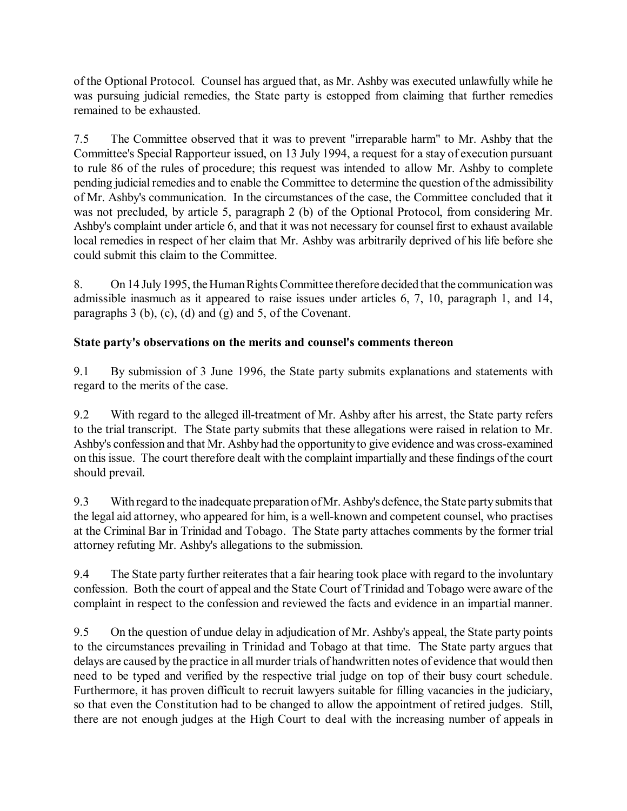of the Optional Protocol. Counsel has argued that, as Mr. Ashby was executed unlawfully while he was pursuing judicial remedies, the State party is estopped from claiming that further remedies remained to be exhausted.

7.5 The Committee observed that it was to prevent "irreparable harm" to Mr. Ashby that the Committee's Special Rapporteur issued, on 13 July 1994, a request for a stay of execution pursuant to rule 86 of the rules of procedure; this request was intended to allow Mr. Ashby to complete pending judicial remedies and to enable the Committee to determine the question of the admissibility of Mr. Ashby's communication. In the circumstances of the case, the Committee concluded that it was not precluded, by article 5, paragraph 2 (b) of the Optional Protocol, from considering Mr. Ashby's complaint under article 6, and that it was not necessary for counsel first to exhaust available local remedies in respect of her claim that Mr. Ashby was arbitrarily deprived of his life before she could submit this claim to the Committee.

8. On 14 July 1995, the Human Rights Committee therefore decided that the communication was admissible inasmuch as it appeared to raise issues under articles 6, 7, 10, paragraph 1, and 14, paragraphs 3 (b), (c), (d) and (g) and 5, of the Covenant.

## **State party's observations on the merits and counsel's comments thereon**

9.1 By submission of 3 June 1996, the State party submits explanations and statements with regard to the merits of the case.

9.2 With regard to the alleged ill-treatment of Mr. Ashby after his arrest, the State party refers to the trial transcript. The State party submits that these allegations were raised in relation to Mr. Ashby's confession and that Mr. Ashby had the opportunity to give evidence and was cross-examined on this issue. The court therefore dealt with the complaint impartially and these findings of the court should prevail.

9.3 With regard to the inadequate preparation of Mr. Ashby's defence, the State party submits that the legal aid attorney, who appeared for him, is a well-known and competent counsel, who practises at the Criminal Bar in Trinidad and Tobago. The State party attaches comments by the former trial attorney refuting Mr. Ashby's allegations to the submission.

9.4 The State party further reiterates that a fair hearing took place with regard to the involuntary confession. Both the court of appeal and the State Court of Trinidad and Tobago were aware of the complaint in respect to the confession and reviewed the facts and evidence in an impartial manner.

9.5 On the question of undue delay in adjudication of Mr. Ashby's appeal, the State party points to the circumstances prevailing in Trinidad and Tobago at that time. The State party argues that delays are caused by the practice in all murder trials of handwritten notes of evidence that would then need to be typed and verified by the respective trial judge on top of their busy court schedule. Furthermore, it has proven difficult to recruit lawyers suitable for filling vacancies in the judiciary, so that even the Constitution had to be changed to allow the appointment of retired judges. Still, there are not enough judges at the High Court to deal with the increasing number of appeals in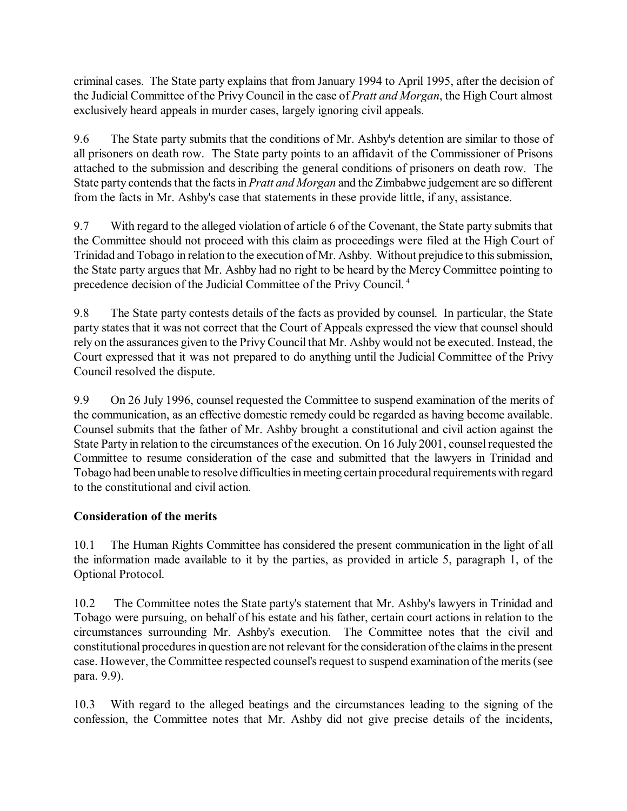criminal cases. The State party explains that from January 1994 to April 1995, after the decision of the Judicial Committee of the Privy Council in the case of *Pratt and Morgan*, the High Court almost exclusively heard appeals in murder cases, largely ignoring civil appeals.

9.6 The State party submits that the conditions of Mr. Ashby's detention are similar to those of all prisoners on death row. The State party points to an affidavit of the Commissioner of Prisons attached to the submission and describing the general conditions of prisoners on death row. The State party contends that the facts in *Pratt and Morgan* and the Zimbabwe judgement are so different from the facts in Mr. Ashby's case that statements in these provide little, if any, assistance.

9.7 With regard to the alleged violation of article 6 of the Covenant, the State party submits that the Committee should not proceed with this claim as proceedings were filed at the High Court of Trinidad and Tobago in relation to the execution of Mr. Ashby. Without prejudice to this submission, the State party argues that Mr. Ashby had no right to be heard by the Mercy Committee pointing to precedence decision of the Judicial Committee of the Privy Council. 4

9.8 The State party contests details of the facts as provided by counsel. In particular, the State party states that it was not correct that the Court of Appeals expressed the view that counsel should rely on the assurances given to the Privy Council that Mr. Ashby would not be executed. Instead, the Court expressed that it was not prepared to do anything until the Judicial Committee of the Privy Council resolved the dispute.

9.9 On 26 July 1996, counsel requested the Committee to suspend examination of the merits of the communication, as an effective domestic remedy could be regarded as having become available. Counsel submits that the father of Mr. Ashby brought a constitutional and civil action against the State Party in relation to the circumstances of the execution. On 16 July 2001, counsel requested the Committee to resume consideration of the case and submitted that the lawyers in Trinidad and Tobago had been unable to resolve difficulties in meeting certain procedural requirements with regard to the constitutional and civil action.

## **Consideration of the merits**

10.1 The Human Rights Committee has considered the present communication in the light of all the information made available to it by the parties, as provided in article 5, paragraph 1, of the Optional Protocol.

10.2 The Committee notes the State party's statement that Mr. Ashby's lawyers in Trinidad and Tobago were pursuing, on behalf of his estate and his father, certain court actions in relation to the circumstances surrounding Mr. Ashby's execution. The Committee notes that the civil and constitutional procedures in question are not relevant for the consideration of the claims in the present case. However, the Committee respected counsel's request to suspend examination of the merits (see para. 9.9).

10.3 With regard to the alleged beatings and the circumstances leading to the signing of the confession, the Committee notes that Mr. Ashby did not give precise details of the incidents,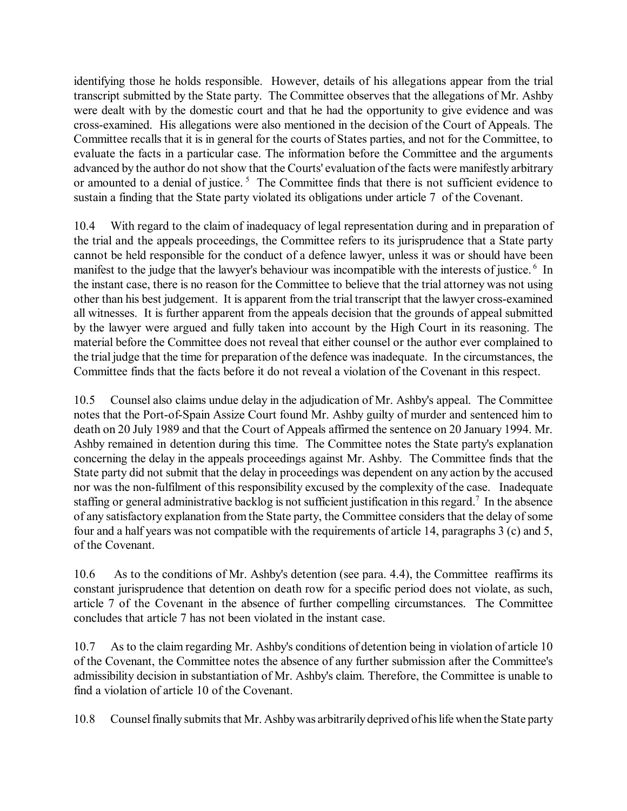identifying those he holds responsible. However, details of his allegations appear from the trial transcript submitted by the State party. The Committee observes that the allegations of Mr. Ashby were dealt with by the domestic court and that he had the opportunity to give evidence and was cross-examined. His allegations were also mentioned in the decision of the Court of Appeals. The Committee recalls that it is in general for the courts of States parties, and not for the Committee, to evaluate the facts in a particular case. The information before the Committee and the arguments advanced by the author do not show that the Courts' evaluation of the facts were manifestly arbitrary or amounted to a denial of justice.<sup>5</sup> The Committee finds that there is not sufficient evidence to sustain a finding that the State party violated its obligations under article 7 of the Covenant.

10.4 With regard to the claim of inadequacy of legal representation during and in preparation of the trial and the appeals proceedings, the Committee refers to its jurisprudence that a State party cannot be held responsible for the conduct of a defence lawyer, unless it was or should have been manifest to the judge that the lawyer's behaviour was incompatible with the interests of justice.<sup>6</sup> In the instant case, there is no reason for the Committee to believe that the trial attorney was not using other than his best judgement. It is apparent from the trial transcript that the lawyer cross-examined all witnesses. It is further apparent from the appeals decision that the grounds of appeal submitted by the lawyer were argued and fully taken into account by the High Court in its reasoning. The material before the Committee does not reveal that either counsel or the author ever complained to the trial judge that the time for preparation of the defence was inadequate. In the circumstances, the Committee finds that the facts before it do not reveal a violation of the Covenant in this respect.

10.5 Counsel also claims undue delay in the adjudication of Mr. Ashby's appeal. The Committee notes that the Port-of-Spain Assize Court found Mr. Ashby guilty of murder and sentenced him to death on 20 July 1989 and that the Court of Appeals affirmed the sentence on 20 January 1994. Mr. Ashby remained in detention during this time. The Committee notes the State party's explanation concerning the delay in the appeals proceedings against Mr. Ashby. The Committee finds that the State party did not submit that the delay in proceedings was dependent on any action by the accused nor was the non-fulfilment of this responsibility excused by the complexity of the case. Inadequate staffing or general administrative backlog is not sufficient justification in this regard.<sup>7</sup> In the absence of any satisfactory explanation from the State party, the Committee considers that the delay of some four and a half years was not compatible with the requirements of article 14, paragraphs 3 (c) and 5, of the Covenant.

10.6 As to the conditions of Mr. Ashby's detention (see para. 4.4), the Committee reaffirms its constant jurisprudence that detention on death row for a specific period does not violate, as such, article 7 of the Covenant in the absence of further compelling circumstances. The Committee concludes that article 7 has not been violated in the instant case.

10.7 As to the claim regarding Mr. Ashby's conditions of detention being in violation of article 10 of the Covenant, the Committee notes the absence of any further submission after the Committee's admissibility decision in substantiation of Mr. Ashby's claim. Therefore, the Committee is unable to find a violation of article 10 of the Covenant.

10.8 Counsel finally submits that Mr. Ashby was arbitrarily deprived of his life when the State party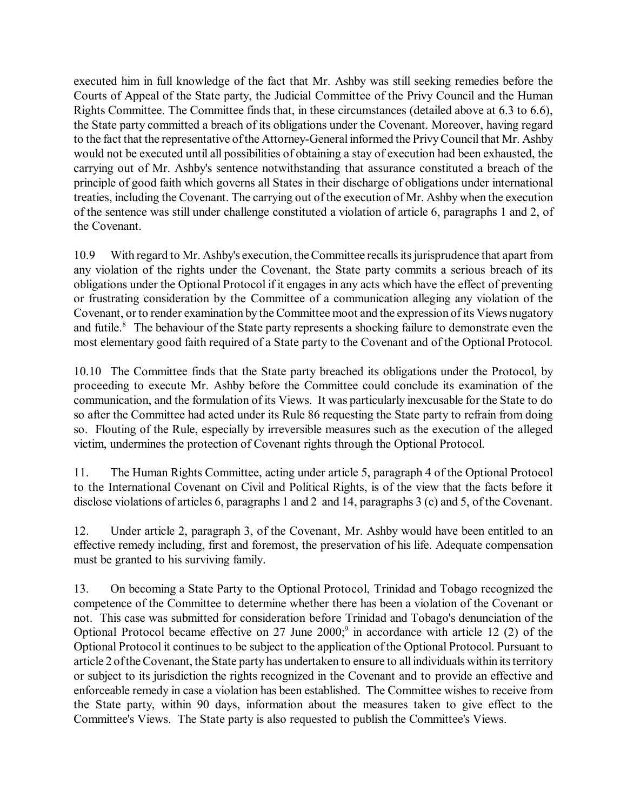executed him in full knowledge of the fact that Mr. Ashby was still seeking remedies before the Courts of Appeal of the State party, the Judicial Committee of the Privy Council and the Human Rights Committee. The Committee finds that, in these circumstances (detailed above at 6.3 to 6.6), the State party committed a breach of its obligations under the Covenant. Moreover, having regard to the fact that the representative of the Attorney-General informed the Privy Council that Mr. Ashby would not be executed until all possibilities of obtaining a stay of execution had been exhausted, the carrying out of Mr. Ashby's sentence notwithstanding that assurance constituted a breach of the principle of good faith which governs all States in their discharge of obligations under international treaties, including the Covenant. The carrying out of the execution of Mr. Ashby when the execution of the sentence was still under challenge constituted a violation of article 6, paragraphs 1 and 2, of the Covenant.

10.9 With regard to Mr. Ashby's execution, the Committee recalls its jurisprudence that apart from any violation of the rights under the Covenant, the State party commits a serious breach of its obligations under the Optional Protocol if it engages in any acts which have the effect of preventing or frustrating consideration by the Committee of a communication alleging any violation of the Covenant, or to render examination by the Committee moot and the expression of its Views nugatory and futile.<sup>8</sup> The behaviour of the State party represents a shocking failure to demonstrate even the most elementary good faith required of a State party to the Covenant and of the Optional Protocol.

10.10 The Committee finds that the State party breached its obligations under the Protocol, by proceeding to execute Mr. Ashby before the Committee could conclude its examination of the communication, and the formulation of its Views. It was particularly inexcusable for the State to do so after the Committee had acted under its Rule 86 requesting the State party to refrain from doing so. Flouting of the Rule, especially by irreversible measures such as the execution of the alleged victim, undermines the protection of Covenant rights through the Optional Protocol.

11. The Human Rights Committee, acting under article 5, paragraph 4 of the Optional Protocol to the International Covenant on Civil and Political Rights, is of the view that the facts before it disclose violations of articles 6, paragraphs 1 and 2 and 14, paragraphs 3 (c) and 5, of the Covenant.

12. Under article 2, paragraph 3, of the Covenant, Mr. Ashby would have been entitled to an effective remedy including, first and foremost, the preservation of his life. Adequate compensation must be granted to his surviving family.

13. On becoming a State Party to the Optional Protocol, Trinidad and Tobago recognized the competence of the Committee to determine whether there has been a violation of the Covenant or not. This case was submitted for consideration before Trinidad and Tobago's denunciation of the Optional Protocol became effective on 27 June  $2000$ ; in accordance with article 12 (2) of the Optional Protocol it continues to be subject to the application of the Optional Protocol. Pursuant to article 2 of the Covenant, the State party has undertaken to ensure to all individuals within its territory or subject to its jurisdiction the rights recognized in the Covenant and to provide an effective and enforceable remedy in case a violation has been established. The Committee wishes to receive from the State party, within 90 days, information about the measures taken to give effect to the Committee's Views. The State party is also requested to publish the Committee's Views.